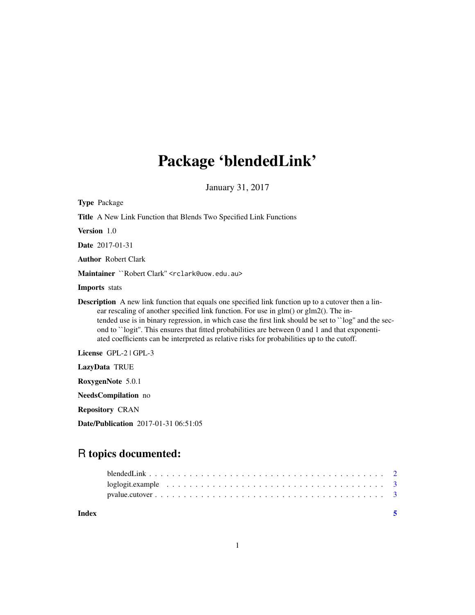# Package 'blendedLink'

January 31, 2017

| <b>Type Package</b>                                                                                                                                                                                                                                                                                                                                                                                                                                                                                         |
|-------------------------------------------------------------------------------------------------------------------------------------------------------------------------------------------------------------------------------------------------------------------------------------------------------------------------------------------------------------------------------------------------------------------------------------------------------------------------------------------------------------|
| <b>Title</b> A New Link Function that Blends Two Specified Link Functions                                                                                                                                                                                                                                                                                                                                                                                                                                   |
| Version 1.0                                                                                                                                                                                                                                                                                                                                                                                                                                                                                                 |
| <b>Date</b> 2017-01-31                                                                                                                                                                                                                                                                                                                                                                                                                                                                                      |
| <b>Author Robert Clark</b>                                                                                                                                                                                                                                                                                                                                                                                                                                                                                  |
| Maintainer ``Robert Clark" <rclark@uow.edu.au></rclark@uow.edu.au>                                                                                                                                                                                                                                                                                                                                                                                                                                          |
| <b>Imports</b> stats                                                                                                                                                                                                                                                                                                                                                                                                                                                                                        |
| <b>Description</b> A new link function that equals one specified link function up to a cutover then a lin-<br>ear rescaling of another specified link function. For use in glm() or glm2(). The in-<br>tended use is in binary regression, in which case the first link should be set to "log" and the sec-<br>ond to "logit". This ensures that fitted probabilities are between 0 and 1 and that exponenti-<br>ated coefficients can be interpreted as relative risks for probabilities up to the cutoff. |
| License GPL-2   GPL-3                                                                                                                                                                                                                                                                                                                                                                                                                                                                                       |
| LazyData TRUE                                                                                                                                                                                                                                                                                                                                                                                                                                                                                               |
| RoxygenNote 5.0.1                                                                                                                                                                                                                                                                                                                                                                                                                                                                                           |
| NeedsCompilation no                                                                                                                                                                                                                                                                                                                                                                                                                                                                                         |
| <b>Repository CRAN</b>                                                                                                                                                                                                                                                                                                                                                                                                                                                                                      |
| <b>Date/Publication</b> 2017-01-31 06:51:05                                                                                                                                                                                                                                                                                                                                                                                                                                                                 |

# R topics documented:

| Index |  |
|-------|--|
|       |  |
|       |  |
|       |  |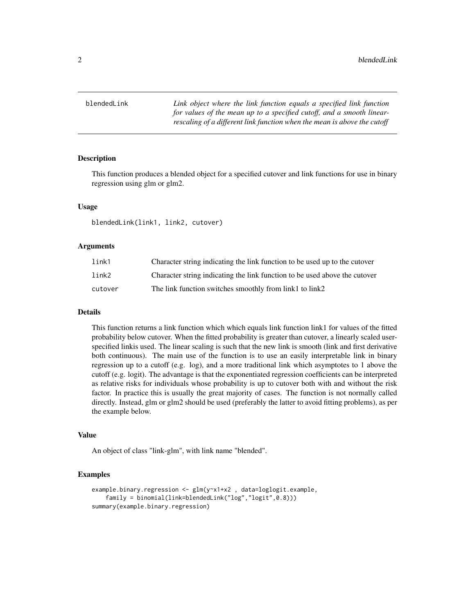<span id="page-1-0"></span>blendedLink *Link object where the link function equals a specified link function for values of the mean up to a specified cutoff, and a smooth linearrescaling of a different link function when the mean is above the cutoff*

## **Description**

This function produces a blended object for a specified cutover and link functions for use in binary regression using glm or glm2.

#### Usage

blendedLink(link1, link2, cutover)

#### Arguments

| link1   | Character string indicating the link function to be used up to the cutover |
|---------|----------------------------------------------------------------------------|
| link2   | Character string indicating the link function to be used above the cutover |
| cutover | The link function switches smoothly from link1 to link2                    |

#### Details

This function returns a link function which which equals link function link1 for values of the fitted probability below cutover. When the fitted probability is greater than cutover, a linearly scaled userspecified linkis used. The linear scaling is such that the new link is smooth (link and first derivative both continuous). The main use of the function is to use an easily interpretable link in binary regression up to a cutoff (e.g. log), and a more traditional link which asymptotes to 1 above the cutoff (e.g. logit). The advantage is that the exponentiated regression coefficients can be interpreted as relative risks for individuals whose probability is up to cutover both with and without the risk factor. In practice this is usually the great majority of cases. The function is not normally called directly. Instead, glm or glm2 should be used (preferably the latter to avoid fitting problems), as per the example below.

#### Value

An object of class "link-glm", with link name "blended".

#### Examples

```
example.binary.regression <- glm(y~x1+x2 , data=loglogit.example,
   family = binomial(link=blendedLink("log","logit",0.8)))
summary(example.binary.regression)
```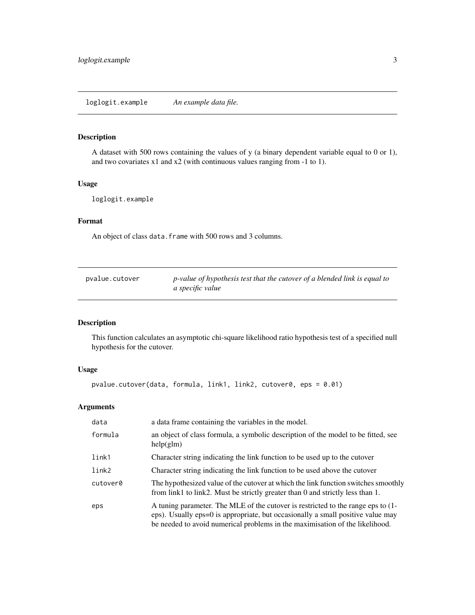#### <span id="page-2-0"></span>Description

A dataset with 500 rows containing the values of y (a binary dependent variable equal to 0 or 1), and two covariates x1 and x2 (with continuous values ranging from -1 to 1).

#### Usage

loglogit.example

#### Format

An object of class data. frame with 500 rows and 3 columns.

| pyalue.cutover | p-value of hypothesis test that the cutover of a blended link is equal to |
|----------------|---------------------------------------------------------------------------|
|                | a specific value                                                          |

## Description

This function calculates an asymptotic chi-square likelihood ratio hypothesis test of a specified null hypothesis for the cutover.

## Usage

```
pvalue.cutover(data, formula, link1, link2, cutover0, eps = 0.01)
```
#### Arguments

| data     | a data frame containing the variables in the model.                                                                                                                                                                                                 |
|----------|-----------------------------------------------------------------------------------------------------------------------------------------------------------------------------------------------------------------------------------------------------|
| formula  | an object of class formula, a symbolic description of the model to be fitted, see<br>help(glm)                                                                                                                                                      |
| link1    | Character string indicating the link function to be used up to the cutover                                                                                                                                                                          |
| link2    | Character string indicating the link function to be used above the cutover                                                                                                                                                                          |
| cutover0 | The hypothesized value of the cutover at which the link function switches smoothly<br>from link1 to link2. Must be strictly greater than 0 and strictly less than 1.                                                                                |
| eps      | A tuning parameter. The MLE of the cutover is restricted to the range eps to (1-<br>eps). Usually eps=0 is appropriate, but occasionally a small positive value may<br>be needed to avoid numerical problems in the maximisation of the likelihood. |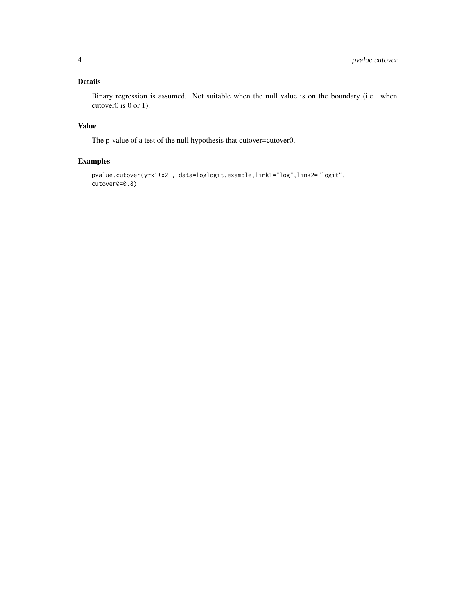# Details

Binary regression is assumed. Not suitable when the null value is on the boundary (i.e. when cutover0 is 0 or 1).

# Value

The p-value of a test of the null hypothesis that cutover=cutover0.

## Examples

```
pvalue.cutover(y~x1+x2 , data=loglogit.example,link1="log",link2="logit",
cutover0=0.8)
```